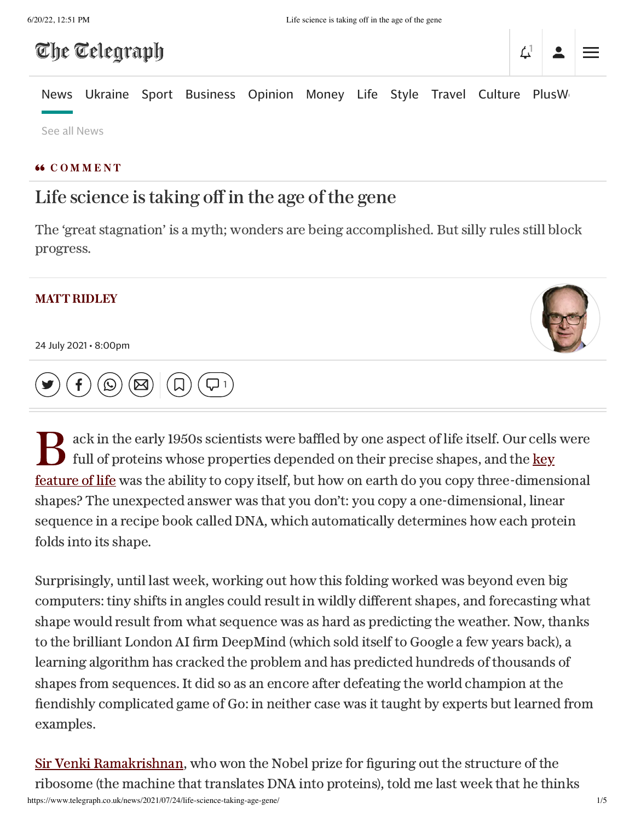## The Telegraph

# $\Delta^1$

[News](https://www.telegraph.co.uk/news/) [Ukraine](https://www.telegraph.co.uk/russia-ukraine-war/) [Sport](https://www.telegraph.co.uk/sport/) [Business](https://www.telegraph.co.uk/business/) [Opinion](https://www.telegraph.co.uk/opinion/) [Money](https://www.telegraph.co.uk/money/) [Life](https://www.telegraph.co.uk/lifestyle/) [Style](https://www.telegraph.co.uk/style/) [Travel](https://www.telegraph.co.uk/travel/) [Culture](https://www.telegraph.co.uk/culture/) PlusW

See all [News](https://www.telegraph.co.uk/all-sections#news)

#### **66 COMMENT**

### Life science istaking off in the age of the gene

The 'great stagnation' is a myth; wonders are being accomplished. But silly rules still block progress.

#### MATT [RIDLEY](https://www.telegraph.co.uk/authors/m/ma-me/matt-ridley/)

24 July 2021 • 8:00pm



 $\overline{\bigcup}$  [1](#page-2-0)

 $\mathbf{B}^*$ ack in the early 1950s scientists were baffled by one aspect of life itself. Our cells were full of proteins whose properties depended on their precise shapes, and the key feature of life was the ability to copy itself, but how on earth do you copy [three-dimens](https://www.telegraph.co.uk/business/2021/02/02/biotechs-attracts-record-investment-covid-boosts-life-sciences/)ional shapes? The unexpected answer was that you don't: you copy a one-dimensional, linear sequence in a recipe book called DNA, which automatically determines how each protein folds into its shape.

Surprisingly, until last week, working out how this folding worked was beyond even big computers: tiny shifts in angles could result in wildly different shapes, and forecasting what shape would result from what sequence was as hard as predicting the weather. Now, thanks to the brilliant London AI firm DeepMind (which sold itself to Google a few years back), a learning algorithm has cracked the problem and has predicted hundreds of thousands of shapes from sequences. It did so as an encore after defeating the world champion at the fiendishly complicated game of Go: in neither case was it taught by experts but learned from examples.

https://www.telegraph.co.uk/news/2021/07/24/life-science-taking-age-gene/ 1/5 Sir Venki [Ramakrishnan,](https://www.telegraph.co.uk/global-health/science-and-disease/science-global-collaboration-hard-brexit-could-harm-efforts/) who won the Nobel prize for figuring out the structure of the ribosome (the machine that translates DNA into proteins), told me last week that he thinks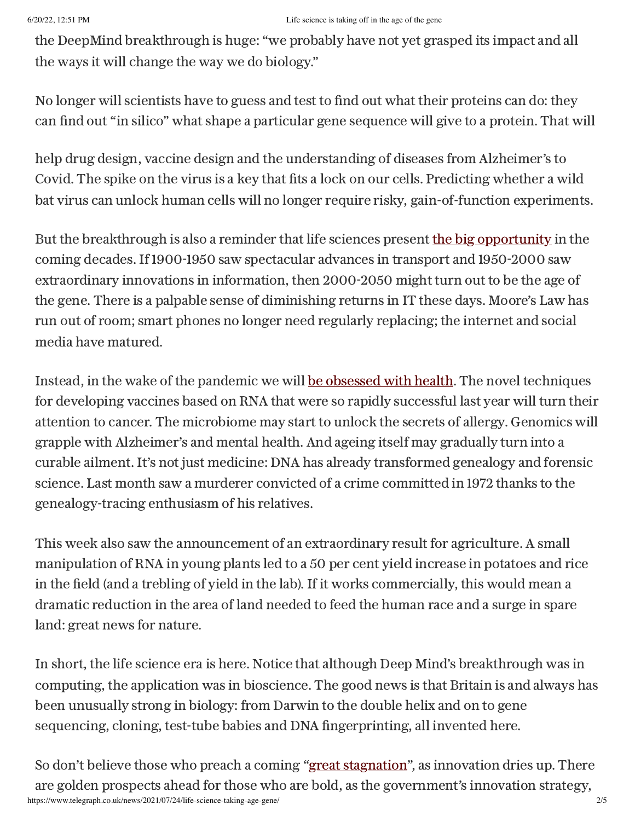#### 6/20/22, 12:51 PM Life science is taking off in the age of the gene

the DeepMind breakthrough is huge: "we probably have not yet grasped its impact and all the ways it will change the way we do biology."

No longer will scientists have to guess and test to find out what their proteins can do: they can find out "in silico" what shape a particular gene sequence will give to a protein. That will

help drug design, vaccine design and the understanding of diseases from Alzheimer's to Covid. The spike on the virus is a key that fits a lock on our cells. Predicting whether a wild bat virus can unlock human cells will no longer require risky, gain-of-function experiments.

But the breakthrough is also a reminder that life sciences present the big [opportunity](https://www.telegraph.co.uk/technology/2021/01/25/british-life-sciences-raise-20bn-covid-19-successes-spur-interest/) in the coming decades. If 1900-1950 saw spectacular advances in transport and 1950-2000 saw extraordinary innovations in information, then 2000-2050 might turn out to be the age of the gene. There is a palpable sense of diminishing returns in IT these days. Moore's Law has run out of room; smart phones no longer need regularly replacing; the internet and social media have matured.

Instead, in the wake of the pandemic we will be [obsessed](https://www.telegraph.co.uk/business/2020/05/09/covid-19-will-spark-wave-medical-innovation/) with health. The novel techniques for developing vaccines based on RNA that were so rapidly successful last year will turn their attention to cancer. The microbiome may start to unlock the secrets of allergy. Genomics will grapple with Alzheimer's and mental health. And ageing itself may gradually turn into a curable ailment. It's not just medicine: DNA has already transformed genealogy and forensic science. Last month saw a murderer convicted of a crime committed in 1972 thanks to the genealogy-tracing enthusiasm of his relatives.

This week also saw the announcement of an extraordinary result for agriculture. A small manipulation of RNA in young plants led to a 50 per cent yield increase in potatoes and rice in the field (and a trebling of yield in the lab). If it works commercially, this would mean a dramatic reduction in the area of land needed to feed the human race and a surge in spare land: great news for nature.

In short, the life science era is here. Notice that although Deep Mind's breakthrough was in computing, the application was in bioscience. The good news is that Britain is and always has been unusually strong in biology: from Darwin to the double helix and on to gene sequencing, cloning, test-tube babies and DNA fingerprinting, all invented here.

https://www.telegraph.co.uk/news/2021/07/24/life-science-taking-age-gene/ 2/5 So don't believe those who preach a coming "great [stagnation"](https://www.telegraph.co.uk/technology/2020/12/01/despite-deepminds-great-leap-forward-age-tech-has-age-stagnation/), as innovation dries up. There are golden prospects ahead for those who are bold, as the government's innovation strategy,